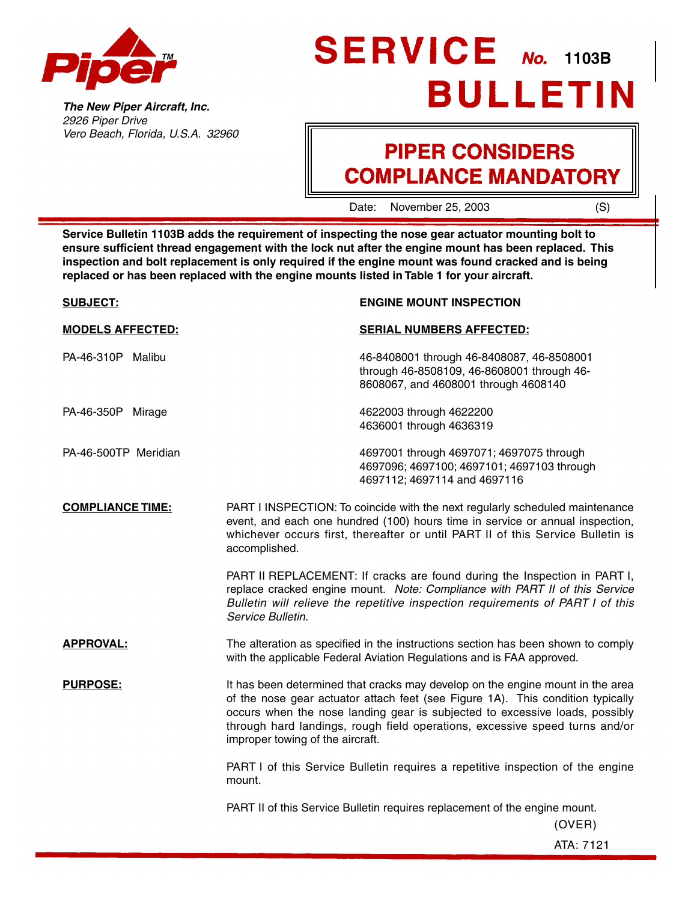<span id="page-0-0"></span>

**The New Piper Aircraft, Inc.** 2926 Piper Drive Vero Beach, Florida, U.S.A. 32960

# SERVICE No. 1103B **BULLETIN**

## **PIPER CONSIDERS COMPLIANCE MANDATORY**

Date: November 25, 2003 (S)

**Service Bulletin 1103B adds the requirement of inspecting the nose gear actuator mounting bolt to ensure sufficient thread engagement with the lock nut after the engine mount has been replaced. This inspection and bolt replacement is only required if the engine mount was found cracked and is being replaced or has been replaced with the engine mounts listed in [Table 1](#page-1-0) for your aircraft.**

| <b>SUBJECT:</b>         | <b>ENGINE MOUNT INSPECTION</b>                                                                                                                                                                                                                                                                                                                                      |
|-------------------------|---------------------------------------------------------------------------------------------------------------------------------------------------------------------------------------------------------------------------------------------------------------------------------------------------------------------------------------------------------------------|
| <b>MODELS AFFECTED:</b> | <b>SERIAL NUMBERS AFFECTED:</b>                                                                                                                                                                                                                                                                                                                                     |
| PA-46-310P Malibu       | 46-8408001 through 46-8408087, 46-8508001<br>through 46-8508109, 46-8608001 through 46-<br>8608067, and 4608001 through 4608140                                                                                                                                                                                                                                     |
| PA-46-350P Mirage       | 4622003 through 4622200<br>4636001 through 4636319                                                                                                                                                                                                                                                                                                                  |
| PA-46-500TP Meridian    | 4697001 through 4697071; 4697075 through<br>4697096; 4697100; 4697101; 4697103 through<br>4697112; 4697114 and 4697116                                                                                                                                                                                                                                              |
| <b>COMPLIANCE TIME:</b> | PART I INSPECTION: To coincide with the next regularly scheduled maintenance<br>event, and each one hundred (100) hours time in service or annual inspection,<br>whichever occurs first, thereafter or until PART II of this Service Bulletin is<br>accomplished.                                                                                                   |
|                         | PART II REPLACEMENT: If cracks are found during the Inspection in PART I,<br>replace cracked engine mount. Note: Compliance with PART II of this Service<br>Bulletin will relieve the repetitive inspection requirements of PART I of this<br>Service Bulletin.                                                                                                     |
| <b>APPROVAL:</b>        | The alteration as specified in the instructions section has been shown to comply<br>with the applicable Federal Aviation Regulations and is FAA approved.                                                                                                                                                                                                           |
| <b>PURPOSE:</b>         | It has been determined that cracks may develop on the engine mount in the area<br>of the nose gear actuator attach feet (see Figure 1A). This condition typically<br>occurs when the nose landing gear is subjected to excessive loads, possibly<br>through hard landings, rough field operations, excessive speed turns and/or<br>improper towing of the aircraft. |
|                         | PART I of this Service Bulletin requires a repetitive inspection of the engine<br>mount.                                                                                                                                                                                                                                                                            |
|                         | PART II of this Service Bulletin requires replacement of the engine mount.<br>(OVER)                                                                                                                                                                                                                                                                                |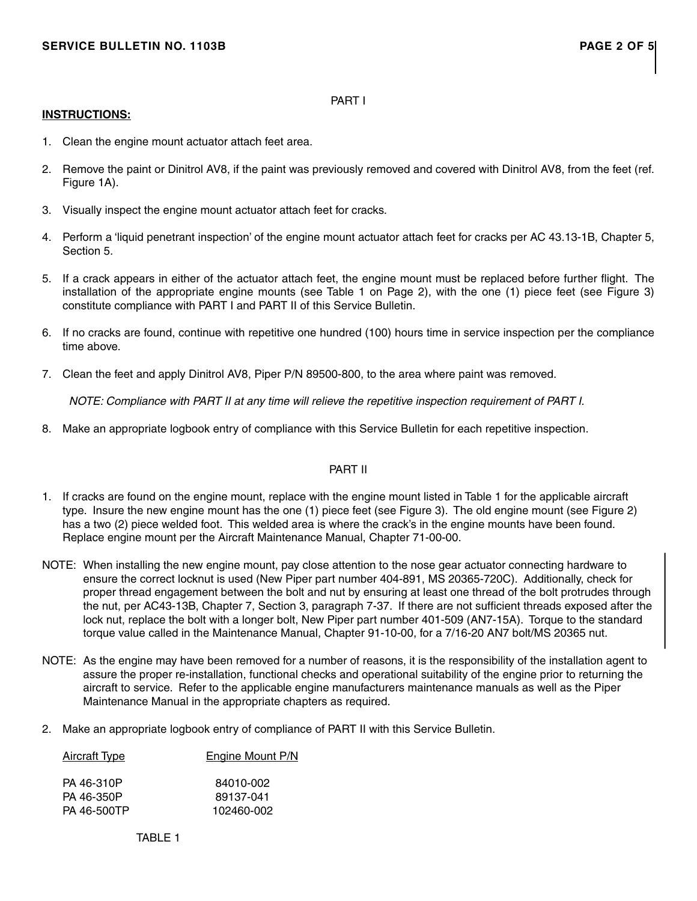#### PART I

#### <span id="page-1-0"></span>**INSTRUCTIONS:**

- 1. Clean the engine mount actuator attach feet area.
- 2. Remove the paint or Dinitrol AV8, if the paint was previously removed and covered with Dinitrol AV8, from the feet (ref. [Figure 1A\).](#page-3-0)
- 3. Visually inspect the engine mount actuator attach feet for cracks.
- 4. Perform a 'liquid penetrant inspection' of the engine mount actuator attach feet for cracks per AC 43.13-1B, Chapter 5, Section 5.
- 5. If a crack appears in either of the actuator attach feet, the engine mount must be replaced before further flight. The installation of the appropriate engine mounts (see Table 1 on Page 2), with the one (1) piece feet (see [Figure 3\)](#page-4-0) constitute compliance with PART I and PART II of this Service Bulletin.
- 6. If no cracks are found, continue with repetitive one hundred (100) hours time in service inspection per the compliance time above.
- 7. Clean the feet and apply Dinitrol AV8, Piper P/N 89500-800, to the area where paint was removed.

NOTE: Compliance with PART II at any time will relieve the repetitive inspection requirement of PART I.

8. Make an appropriate logbook entry of compliance with this Service Bulletin for each repetitive inspection.

#### PART II

- 1. If cracks are found on the engine mount, replace with the engine mount listed in Table 1 for the applicable aircraft type. Insure the new engine mount has the one (1) piece feet (see [Figure 3\).](#page-4-0) The old engine mount (see [Figure 2\)](#page-4-0) has a two (2) piece welded foot. This welded area is where the crack's in the engine mounts have been found. Replace engine mount per the Aircraft Maintenance Manual, Chapter 71-00-00.
- NOTE: When installing the new engine mount, pay close attention to the nose gear actuator connecting hardware to ensure the correct locknut is used (New Piper part number 404-891, MS 20365-720C). Additionally, check for proper thread engagement between the bolt and nut by ensuring at least one thread of the bolt protrudes through the nut, per AC43-13B, Chapter 7, Section 3, paragraph 7-37. If there are not sufficient threads exposed after the lock nut, replace the bolt with a longer bolt, New Piper part number 401-509 (AN7-15A). Torque to the standard torque value called in the Maintenance Manual, Chapter 91-10-00, for a 7/16-20 AN7 bolt/MS 20365 nut.
- NOTE: As the engine may have been removed for a number of reasons, it is the responsibility of the installation agent to assure the proper re-installation, functional checks and operational suitability of the engine prior to returning the aircraft to service. Refer to the applicable engine manufacturers maintenance manuals as well as the Piper Maintenance Manual in the appropriate chapters as required.
- 2. Make an appropriate logbook entry of compliance of PART II with this Service Bulletin.

| <b>Aircraft Type</b> | <b>Engine Mount P/N</b> |
|----------------------|-------------------------|
|                      |                         |
| PA 46-310P           | 84010-002               |
| PA 46-350P           | 89137-041               |
| PA 46-500TP          | 102460-002              |

TABLE 1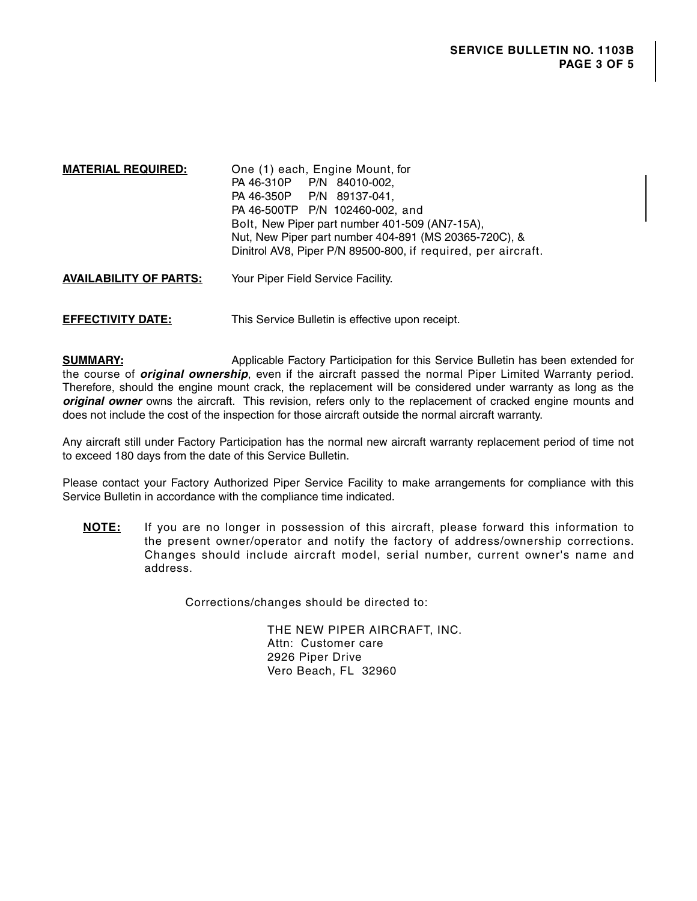**MATERIAL REQUIRED:** One (1) each, Engine Mount, for PA 46-310P P/N 84010-002, PA 46-350P P/N 89137-041, PA 46-500TP P/N 102460-002, and Bolt, New Piper part number 401-509 (AN7-15A), Nut, New Piper part number 404-891 (MS 20365-720C), & Dinitrol AV8, Piper P/N 89500-800, if required, per aircraft.

**AVAILABILITY OF PARTS:** Your Piper Field Service Facility.

**EFFECTIVITY DATE:** This Service Bulletin is effective upon receipt.

**SUMMARY:** Applicable Factory Participation for this Service Bulletin has been extended for the course of **original ownership**, even if the aircraft passed the normal Piper Limited Warranty period. Therefore, should the engine mount crack, the replacement will be considered under warranty as long as the **original owner** owns the aircraft. This revision, refers only to the replacement of cracked engine mounts and does not include the cost of the inspection for those aircraft outside the normal aircraft warranty.

Any aircraft still under Factory Participation has the normal new aircraft warranty replacement period of time not to exceed 180 days from the date of this Service Bulletin.

Please contact your Factory Authorized Piper Service Facility to make arrangements for compliance with this Service Bulletin in accordance with the [compliance time](#page-0-0) indicated.

**NOTE:** If you are no longer in possession of this aircraft, please forward this information to the present owner/operator and notify the factory of address/ownership corrections. Changes should include aircraft model, serial number, current owner's name and address.

Corrections/changes should be directed to:

THE NEW PIPER AIRCRAFT, INC. Attn: Customer care 2926 Piper Drive Vero Beach, FL 32960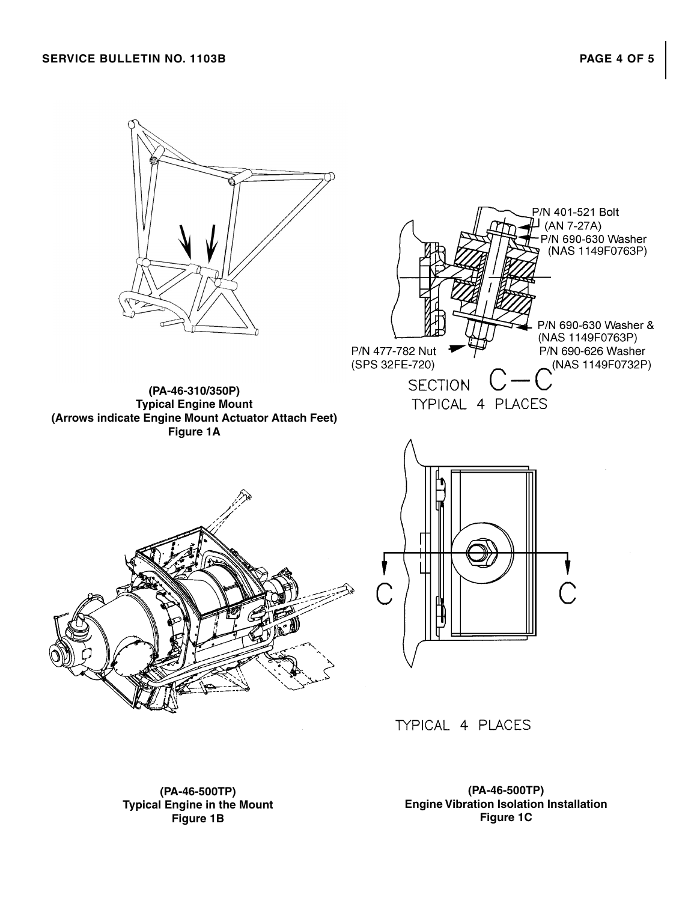### <span id="page-3-0"></span>**SERVICE BULLETIN NO. 1103B PAGE 4 OF 5**



**(PA-46-500TP) Typical Engine in the Mount Figure 1B**

**(PA-46-500TP) Engine Vibration Isolation Installation Figure 1C**